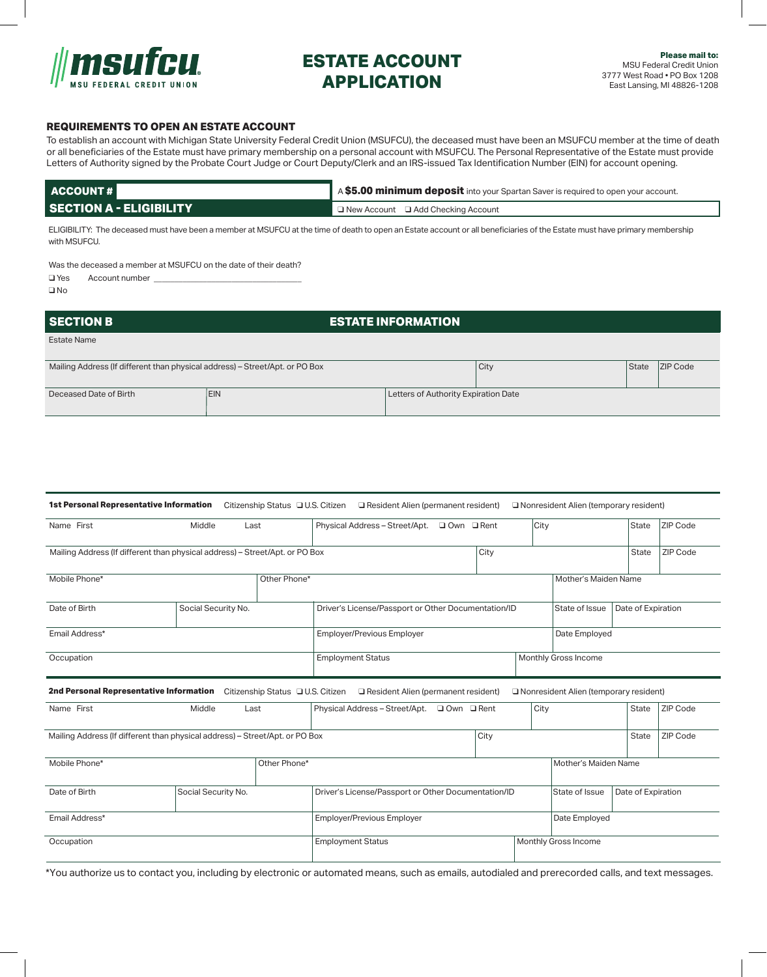

# **ESTATE ACCOUNT APPLICATION**

### **REQUIREMENTS TO OPEN AN ESTATE ACCOUNT**

To establish an account with Michigan State University Federal Credit Union (MSUFCU), the deceased must have been an MSUFCU member at the time of death or all beneficiaries of the Estate must have primary membership on a personal account with MSUFCU. The Personal Representative of the Estate must provide Letters of Authority signed by the Probate Court Judge or Court Deputy/Clerk and an IRS-issued Tax Identification Number (EIN) for account opening.

| ACCOUNT#                       | A \$5.00 minimum deposit into your Spartan Saver is required to open your account. |  |  |  |  |
|--------------------------------|------------------------------------------------------------------------------------|--|--|--|--|
| <b>SECTION A - ELIGIBILITY</b> | $\Box$ New Account $\Box$ Add Checking Account                                     |  |  |  |  |

ELIGIBILITY: The deceased must have been a member at MSUFCU at the time of death to open an Estate account or all beneficiaries of the Estate must have primary membership with MSUFCU.

Was the deceased a member at MSUFCU on the date of their death?

 $\Box$  Yes Account number

 $\square$  No

| <b>SECTION B</b>                                                             | <b>ESTATE INFORMATION</b> |                                      |      |       |                 |
|------------------------------------------------------------------------------|---------------------------|--------------------------------------|------|-------|-----------------|
| Estate Name                                                                  |                           |                                      |      |       |                 |
| Mailing Address (If different than physical address) - Street/Apt. or PO Box |                           |                                      | City | State | <b>ZIP Code</b> |
| Deceased Date of Birth                                                       | <b>IEIN</b>               | Letters of Authority Expiration Date |      |       |                 |

|                |                                                                              |              | 1st Personal Representative Information Citizenship Status QU.S. Citizen Q Resident Alien (permanent resident) |  |                                      |      | O Nonresident Alien (temporary resident) |                    |          |
|----------------|------------------------------------------------------------------------------|--------------|----------------------------------------------------------------------------------------------------------------|--|--------------------------------------|------|------------------------------------------|--------------------|----------|
| Name First     | Middle                                                                       | Last         | Physical Address - Street/Apt. □ Own □ Rent                                                                    |  |                                      | City |                                          | <b>State</b>       | ZIP Code |
|                | Mailing Address (If different than physical address) - Street/Apt. or PO Box |              |                                                                                                                |  | City                                 |      |                                          | <b>State</b>       | ZIP Code |
| Mobile Phone*  |                                                                              | Other Phone* |                                                                                                                |  |                                      |      | Mother's Maiden Name                     |                    |          |
| Date of Birth  | Social Security No.                                                          |              | Driver's License/Passport or Other Documentation/ID                                                            |  |                                      |      | State of Issue                           | Date of Expiration |          |
| Email Address* |                                                                              |              | <b>Employer/Previous Employer</b>                                                                              |  |                                      |      | Date Employed                            |                    |          |
| Occupation     |                                                                              |              | <b>Employment Status</b>                                                                                       |  |                                      |      | Monthly Gross Income                     |                    |          |
|                |                                                                              |              | 2nd Personal Representative Information Citizenship Status DU.S. Citizen DResident Alien (permanent resident)  |  |                                      |      | Nonresident Alien (temporary resident)   |                    |          |
| Name First     | Middle                                                                       | Last         | Physical Address - Street/Apt. Q Own Q Rent                                                                    |  |                                      | City |                                          | <b>State</b>       | ZIP Code |
|                | Mailing Address (If different than physical address) - Street/Apt. or PO Box |              |                                                                                                                |  | City                                 |      |                                          | <b>State</b>       | ZIP Code |
| Mobile Phone*  |                                                                              | Other Phone* |                                                                                                                |  |                                      |      | Mother's Maiden Name                     |                    |          |
| Date of Birth  | Social Security No.                                                          |              | Driver's License/Passport or Other Documentation/ID                                                            |  | State of Issue<br>Date of Expiration |      |                                          |                    |          |
| Email Address* |                                                                              |              | <b>Employer/Previous Employer</b>                                                                              |  |                                      |      | Date Employed                            |                    |          |
| Occupation     |                                                                              |              | <b>Employment Status</b>                                                                                       |  |                                      |      | Monthly Gross Income                     |                    |          |

\*You authorize us to contact you, including by electronic or automated means, such as emails, autodialed and prerecorded calls, and text messages.